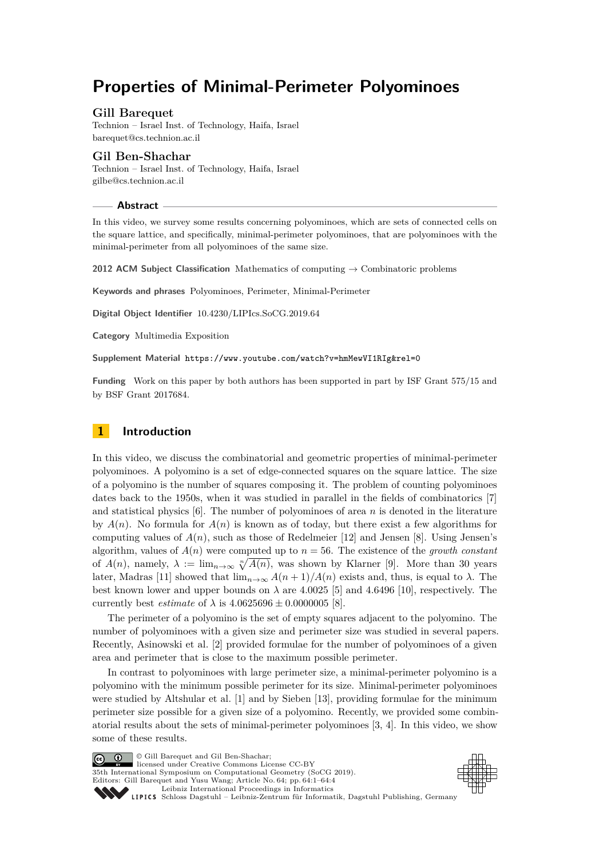# **Properties of Minimal-Perimeter Polyominoes**

## **Gill Barequet**

Technion – Israel Inst. of Technology, Haifa, Israel [barequet@cs.technion.ac.il](mailto:barequet@cs.technion.ac.il)

### **Gil Ben-Shachar**

Technion – Israel Inst. of Technology, Haifa, Israel [gilbe@cs.technion.ac.il](mailto:gilbe@cs.technion.ac.il)

#### **Abstract**

In this video, we survey some results concerning polyominoes, which are sets of connected cells on the square lattice, and specifically, minimal-perimeter polyominoes, that are polyominoes with the minimal-perimeter from all polyominoes of the same size.

**2012 ACM Subject Classification** Mathematics of computing → Combinatoric problems

**Keywords and phrases** Polyominoes, Perimeter, Minimal-Perimeter

**Digital Object Identifier** [10.4230/LIPIcs.SoCG.2019.64](https://doi.org/10.4230/LIPIcs.SoCG.2019.64)

**Category** Multimedia Exposition

**Supplement Material** <https://www.youtube.com/watch?v=hmMewVI1RIg&rel=0>

**Funding** Work on this paper by both authors has been supported in part by ISF Grant 575/15 and by BSF Grant 2017684.

## **1 Introduction**

In this video, we discuss the combinatorial and geometric properties of minimal-perimeter polyominoes. A polyomino is a set of edge-connected squares on the square lattice. The size of a polyomino is the number of squares composing it. The problem of counting polyominoes dates back to the 1950s, when it was studied in parallel in the fields of combinatorics [\[7\]](#page-3-0) and statistical physics [\[6\]](#page-3-1). The number of polyominoes of area *n* is denoted in the literature by  $A(n)$ . No formula for  $A(n)$  is known as of today, but there exist a few algorithms for computing values of  $A(n)$ , such as those of Redelmeier [\[12\]](#page-3-2) and Jensen [\[8\]](#page-3-3). Using Jensen's algorithm, values of  $A(n)$  were computed up to  $n = 56$ . The existence of the *growth constant* of  $A(n)$ , namely,  $\lambda := \lim_{n \to \infty} \sqrt[n]{A(n)}$ , was shown by Klarner [\[9\]](#page-3-4). More than 30 years later, Madras [\[11\]](#page-3-5) showed that  $\lim_{n\to\infty} A(n+1)/A(n)$  exists and, thus, is equal to  $\lambda$ . The best known lower and upper bounds on  $\lambda$  are 4.0025 [\[5\]](#page-3-6) and 4.6496 [\[10\]](#page-3-7), respectively. The currently best *estimate* of  $\lambda$  is  $4.0625696 \pm 0.0000005$  [\[8\]](#page-3-3).

The perimeter of a polyomino is the set of empty squares adjacent to the polyomino. The number of polyominoes with a given size and perimeter size was studied in several papers. Recently, Asinowski et al. [\[2\]](#page-3-8) provided formulae for the number of polyominoes of a given area and perimeter that is close to the maximum possible perimeter.

In contrast to polyominoes with large perimeter size, a minimal-perimeter polyomino is a polyomino with the minimum possible perimeter for its size. Minimal-perimeter polyominoes were studied by Altshular et al. [\[1\]](#page-3-9) and by Sieben [\[13\]](#page-3-10), providing formulae for the minimum perimeter size possible for a given size of a polyomino. Recently, we provided some combinatorial results about the sets of minimal-perimeter polyominoes [\[3,](#page-3-11) [4\]](#page-3-12). In this video, we show some of these results.

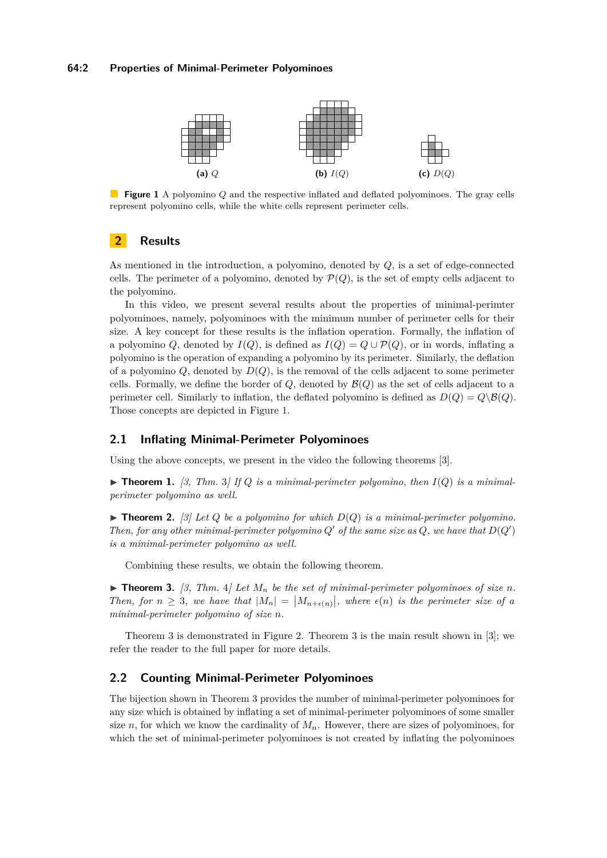#### <span id="page-1-0"></span>**64:2 Properties of Minimal-Perimeter Polyominoes**



**Figure 1** A polyomino *Q* and the respective inflated and deflated polyominoes. The gray cells represent polyomino cells, while the white cells represent perimeter cells.

## **2 Results**

As mentioned in the introduction, a polyomino, denoted by *Q*, is a set of edge-connected cells. The perimeter of a polyomino, denoted by  $\mathcal{P}(Q)$ , is the set of empty cells adjacent to the polyomino.

In this video, we present several results about the properties of minimal-perimter polyominoes, namely, polyominoes with the minimum number of perimeter cells for their size. A key concept for these results is the inflation operation. Formally, the inflation of a polyomino *Q*, denoted by  $I(Q)$ , is defined as  $I(Q) = Q \cup \mathcal{P}(Q)$ , or in words, inflating a polyomino is the operation of expanding a polyomino by its perimeter. Similarly, the deflation of a polyomino  $Q$ , denoted by  $D(Q)$ , is the removal of the cells adjacent to some perimeter cells. Formally, we define the border of  $Q$ , denoted by  $\mathcal{B}(Q)$  as the set of cells adjacent to a perimeter cell. Similarly to inflation, the deflated polyomino is defined as  $D(Q) = Q \setminus \mathcal{B}(Q)$ . Those concepts are depicted in Figure [1.](#page-1-0)

## **2.1 Inflating Minimal-Perimeter Polyominoes**

Using the above concepts, we present in the video the following theorems [\[3\]](#page-3-11).

 $\triangleright$  **Theorem 1.** [\[3,](#page-3-11) Thm. 3] If Q is a minimal-perimeter polyomino, then  $I(Q)$  is a minimal*perimeter polyomino as well.*

 $\blacktriangleright$  **Theorem 2.** [\[3\]](#page-3-11) Let Q be a polyomino for which  $D(Q)$  is a minimal-perimeter polyomino. *Then, for any other minimal-perimeter polyomino*  $Q'$  *of the same size as*  $Q$ *, we have that*  $D(Q')$ *is a minimal-perimeter polyomino as well.*

Combining these results, we obtain the following theorem.

<span id="page-1-1"></span> $\blacktriangleright$  **Theorem 3.** [\[3,](#page-3-11) Thm. 4] Let  $M_n$  be the set of minimal-perimeter polyominoes of size n. Then, for  $n \geq 3$ , we have that  $|M_n| = |M_{n+\epsilon(n)}|$ , where  $\epsilon(n)$  is the perimeter size of a *minimal-perimeter polyomino of size n.*

Theorem [3](#page-1-1) is demonstrated in Figure [2.](#page-2-0) Theorem [3](#page-1-1) is the main result shown in [\[3\]](#page-3-11); we refer the reader to the full paper for more details.

#### **2.2 Counting Minimal-Perimeter Polyominoes**

The bijection shown in Theorem [3](#page-1-1) provides the number of minimal-perimeter polyominoes for any size which is obtained by inflating a set of minimal-perimeter polyominoes of some smaller size *n*, for which we know the cardinality of  $M_n$ . However, there are sizes of polyominoes, for which the set of minimal-perimeter polyominoes is not created by inflating the polyominoes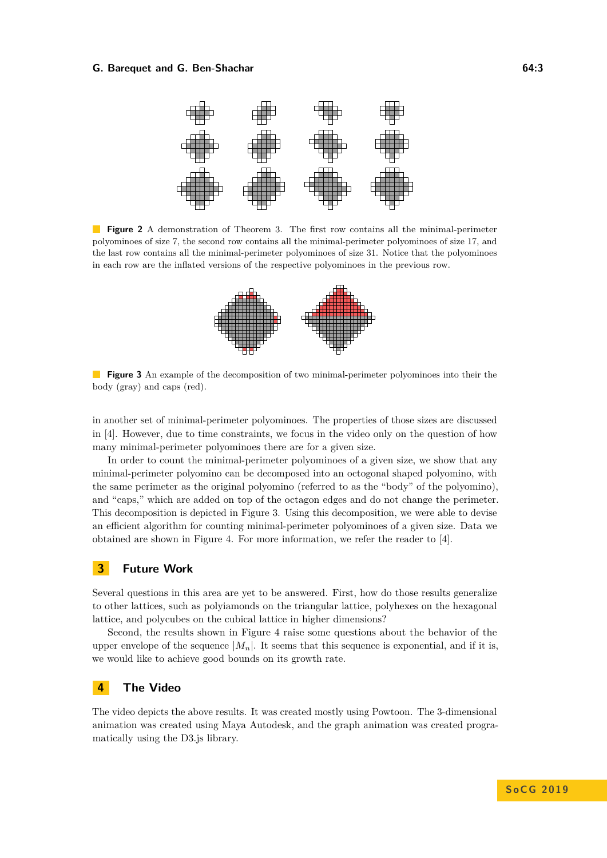#### <span id="page-2-0"></span>**G. Barequet and G. Ben-Shachar 64:3** 64:3



<span id="page-2-1"></span>**Figure 2** A demonstration of Theorem [3.](#page-1-1) The first row contains all the minimal-perimeter polyominoes of size 7, the second row contains all the minimal-perimeter polyominoes of size 17, and the last row contains all the minimal-perimeter polyominoes of size 31. Notice that the polyominoes in each row are the inflated versions of the respective polyominoes in the previous row.



**Figure 3** An example of the decomposition of two minimal-perimeter polyominoes into their the body (gray) and caps (red).

in another set of minimal-perimeter polyominoes. The properties of those sizes are discussed in [\[4\]](#page-3-12). However, due to time constraints, we focus in the video only on the question of how many minimal-perimeter polyominoes there are for a given size.

In order to count the minimal-perimeter polyominoes of a given size, we show that any minimal-perimeter polyomino can be decomposed into an octogonal shaped polyomino, with the same perimeter as the original polyomino (referred to as the "body" of the polyomino), and "caps," which are added on top of the octagon edges and do not change the perimeter. This decomposition is depicted in Figure [3.](#page-2-1) Using this decomposition, we were able to devise an efficient algorithm for counting minimal-perimeter polyominoes of a given size. Data we obtained are shown in Figure [4.](#page-3-14) For more information, we refer the reader to [\[4\]](#page-3-12).

#### **3 Future Work**

Several questions in this area are yet to be answered. First, how do those results generalize to other lattices, such as polyiamonds on the triangular lattice, polyhexes on the hexagonal lattice, and polycubes on the cubical lattice in higher dimensions?

Second, the results shown in Figure [4](#page-3-14) raise some questions about the behavior of the upper envelope of the sequence  $|M_n|$ . It seems that this sequence is exponential, and if it is, we would like to achieve good bounds on its growth rate.

## **4 The Video**

The video depicts the above results. It was created mostly using [Powtoon.](www.powtoon.com) The 3-dimensional animation was created using Maya Autodesk, and the graph animation was created programatically using the D3.js library.